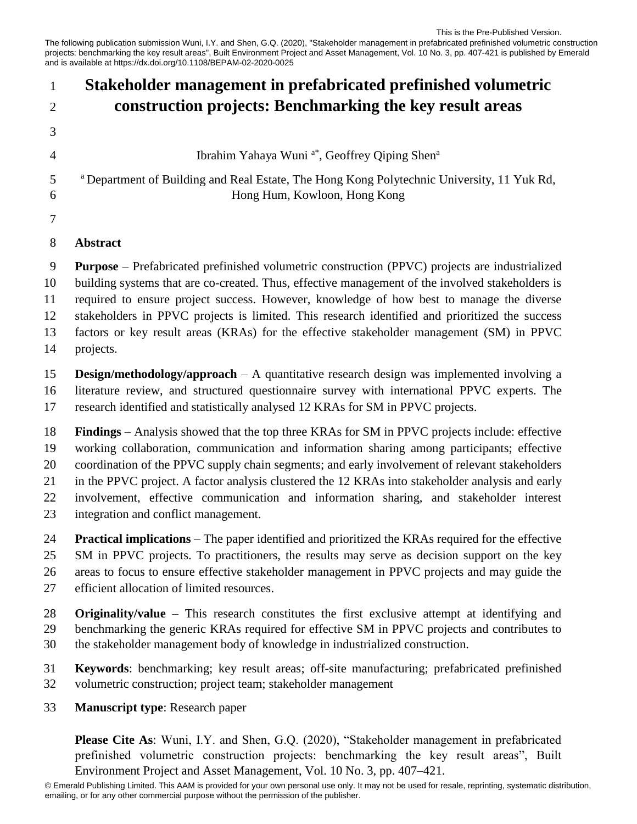The following publication submission Wuni, I.Y. and Shen, G.Q. (2020), "Stakeholder management in prefabricated prefinished volumetric construction projects: benchmarking the key result areas", Built Environment Project and Asset Management, Vol. 10 No. 3, pp. 407-421 is published by Emerald and is available at https://dx.doi.org/10.1108/BEPAM-02-2020-0025 This is the Pre-Published Version.

## **Please Cite As**: Wuni, I.Y. and Shen, G.Q. (2020), "Stakeholder management in prefabricated **Stakeholder management in prefabricated prefinished volumetric construction projects: Benchmarking the key result areas** Ibrahim Yahaya Wuni<sup>a\*</sup>, Geoffrey Qiping Shen<sup>a</sup> <sup>a</sup> Department of Building and Real Estate, The Hong Kong Polytechnic University, 11 Yuk Rd, Hong Hum, Kowloon, Hong Kong **Abstract Purpose** – Prefabricated prefinished volumetric construction (PPVC) projects are industrialized building systems that are co-created. Thus, effective management of the involved stakeholders is required to ensure project success. However, knowledge of how best to manage the diverse stakeholders in PPVC projects is limited. This research identified and prioritized the success factors or key result areas (KRAs) for the effective stakeholder management (SM) in PPVC projects. **Design/methodology/approach** – A quantitative research design was implemented involving a literature review, and structured questionnaire survey with international PPVC experts. The research identified and statistically analysed 12 KRAs for SM in PPVC projects. **Findings** – Analysis showed that the top three KRAs for SM in PPVC projects include: effective working collaboration, communication and information sharing among participants; effective coordination of the PPVC supply chain segments; and early involvement of relevant stakeholders in the PPVC project. A factor analysis clustered the 12 KRAs into stakeholder analysis and early involvement, effective communication and information sharing, and stakeholder interest integration and conflict management. **Practical implications** – The paper identified and prioritized the KRAs required for the effective SM in PPVC projects. To practitioners, the results may serve as decision support on the key areas to focus to ensure effective stakeholder management in PPVC projects and may guide the efficient allocation of limited resources. **Originality/value** – This research constitutes the first exclusive attempt at identifying and benchmarking the generic KRAs required for effective SM in PPVC projects and contributes to the stakeholder management body of knowledge in industrialized construction. **Keywords**: benchmarking; key result areas; off-site manufacturing; prefabricated prefinished volumetric construction; project team; stakeholder management **Manuscript type**: Research paper

prefinished volumetric construction projects: benchmarking the key result areas", Built Environment Project and Asset Management, Vol. 10 No. 3, pp. 407–421.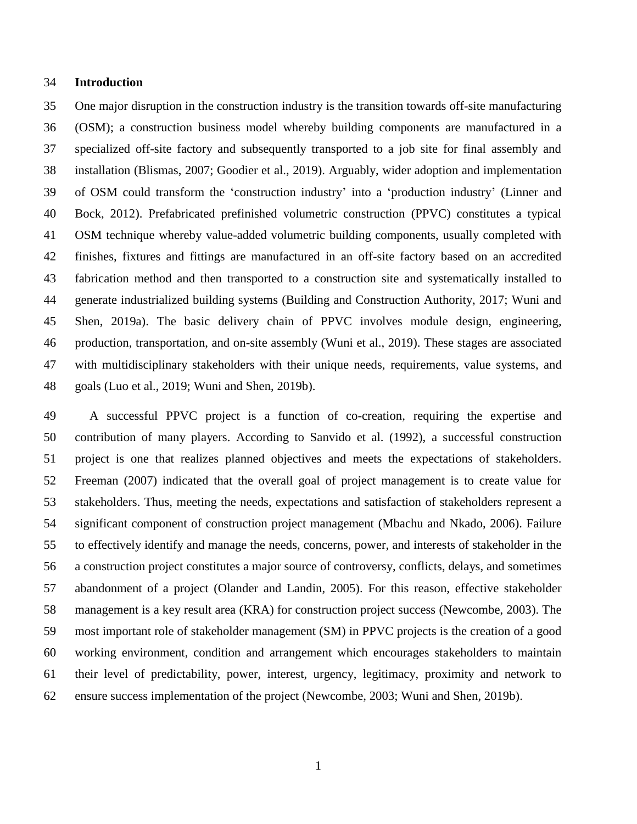#### **Introduction**

 One major disruption in the construction industry is the transition towards off-site manufacturing (OSM); a construction business model whereby building components are manufactured in a specialized off-site factory and subsequently transported to a job site for final assembly and installation (Blismas, 2007; Goodier et al., 2019). Arguably, wider adoption and implementation of OSM could transform the 'construction industry' into a 'production industry' (Linner and Bock, 2012). Prefabricated prefinished volumetric construction (PPVC) constitutes a typical OSM technique whereby value-added volumetric building components, usually completed with finishes, fixtures and fittings are manufactured in an off-site factory based on an accredited fabrication method and then transported to a construction site and systematically installed to generate industrialized building systems (Building and Construction Authority, 2017; Wuni and Shen, 2019a). The basic delivery chain of PPVC involves module design, engineering, production, transportation, and on-site assembly (Wuni et al., 2019). These stages are associated with multidisciplinary stakeholders with their unique needs, requirements, value systems, and goals (Luo et al., 2019; Wuni and Shen, 2019b).

 A successful PPVC project is a function of co-creation, requiring the expertise and contribution of many players. According to Sanvido et al. (1992), a successful construction project is one that realizes planned objectives and meets the expectations of stakeholders. Freeman (2007) indicated that the overall goal of project management is to create value for stakeholders. Thus, meeting the needs, expectations and satisfaction of stakeholders represent a significant component of construction project management (Mbachu and Nkado, 2006). Failure to effectively identify and manage the needs, concerns, power, and interests of stakeholder in the a construction project constitutes a major source of controversy, conflicts, delays, and sometimes abandonment of a project (Olander and Landin, 2005). For this reason, effective stakeholder management is a key result area (KRA) for construction project success (Newcombe, 2003). The most important role of stakeholder management (SM) in PPVC projects is the creation of a good working environment, condition and arrangement which encourages stakeholders to maintain their level of predictability, power, interest, urgency, legitimacy, proximity and network to ensure success implementation of the project (Newcombe, 2003; Wuni and Shen, 2019b).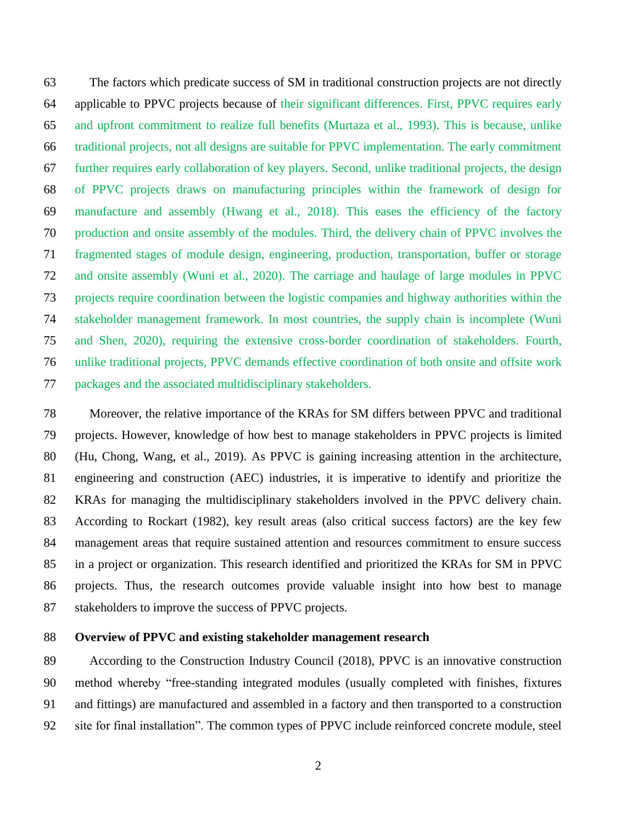The factors which predicate success of SM in traditional construction projects are not directly applicable to PPVC projects because of their significant differences. First, PPVC requires early and upfront commitment to realize full benefits (Murtaza et al., 1993). This is because, unlike traditional projects, not all designs are suitable for PPVC implementation. The early commitment further requires early collaboration of key players. Second, unlike traditional projects, the design of PPVC projects draws on manufacturing principles within the framework of design for manufacture and assembly (Hwang et al., 2018). This eases the efficiency of the factory production and onsite assembly of the modules. Third, the delivery chain of PPVC involves the fragmented stages of module design, engineering, production, transportation, buffer or storage and onsite assembly (Wuni et al., 2020). The carriage and haulage of large modules in PPVC projects require coordination between the logistic companies and highway authorities within the stakeholder management framework. In most countries, the supply chain is incomplete (Wuni and Shen, 2020), requiring the extensive cross-border coordination of stakeholders. Fourth, unlike traditional projects, PPVC demands effective coordination of both onsite and offsite work packages and the associated multidisciplinary stakeholders.

 Moreover, the relative importance of the KRAs for SM differs between PPVC and traditional projects. However, knowledge of how best to manage stakeholders in PPVC projects is limited (Hu, Chong, Wang, et al., 2019). As PPVC is gaining increasing attention in the architecture, engineering and construction (AEC) industries, it is imperative to identify and prioritize the KRAs for managing the multidisciplinary stakeholders involved in the PPVC delivery chain. According to Rockart (1982), key result areas (also critical success factors) are the key few management areas that require sustained attention and resources commitment to ensure success in a project or organization. This research identified and prioritized the KRAs for SM in PPVC projects. Thus, the research outcomes provide valuable insight into how best to manage 87 stakeholders to improve the success of PPVC projects.

#### **Overview of PPVC and existing stakeholder management research**

89 According to the Construction Industry Council (2018), PPVC is an innovative construction method whereby "free-standing integrated modules (usually completed with finishes, fixtures and fittings) are manufactured and assembled in a factory and then transported to a construction site for final installation". The common types of PPVC include reinforced concrete module, steel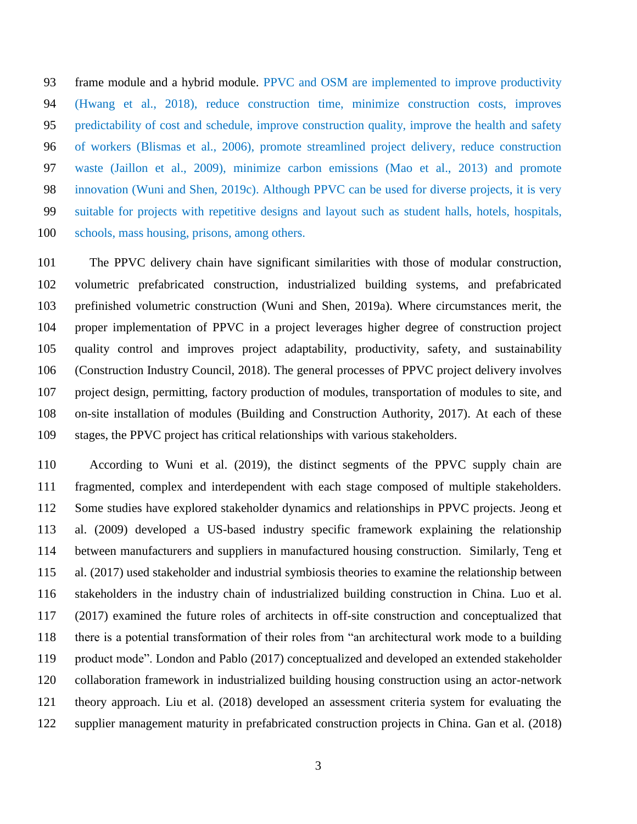frame module and a hybrid module. PPVC and OSM are implemented to improve productivity (Hwang et al., 2018), reduce construction time, minimize construction costs, improves predictability of cost and schedule, improve construction quality, improve the health and safety of workers (Blismas et al., 2006), promote streamlined project delivery, reduce construction waste (Jaillon et al., 2009), minimize carbon emissions (Mao et al., 2013) and promote innovation (Wuni and Shen, 2019c). Although PPVC can be used for diverse projects, it is very suitable for projects with repetitive designs and layout such as student halls, hotels, hospitals, schools, mass housing, prisons, among others.

 The PPVC delivery chain have significant similarities with those of modular construction, volumetric prefabricated construction, industrialized building systems, and prefabricated prefinished volumetric construction (Wuni and Shen, 2019a). Where circumstances merit, the proper implementation of PPVC in a project leverages higher degree of construction project quality control and improves project adaptability, productivity, safety, and sustainability (Construction Industry Council, 2018). The general processes of PPVC project delivery involves project design, permitting, factory production of modules, transportation of modules to site, and on-site installation of modules (Building and Construction Authority, 2017). At each of these stages, the PPVC project has critical relationships with various stakeholders.

 According to Wuni et al. (2019), the distinct segments of the PPVC supply chain are fragmented, complex and interdependent with each stage composed of multiple stakeholders. Some studies have explored stakeholder dynamics and relationships in PPVC projects. Jeong et al. (2009) developed a US-based industry specific framework explaining the relationship between manufacturers and suppliers in manufactured housing construction. Similarly, Teng et al. (2017) used stakeholder and industrial symbiosis theories to examine the relationship between stakeholders in the industry chain of industrialized building construction in China. Luo et al. (2017) examined the future roles of architects in off-site construction and conceptualized that there is a potential transformation of their roles from "an architectural work mode to a building product mode". London and Pablo (2017) conceptualized and developed an extended stakeholder collaboration framework in industrialized building housing construction using an actor-network theory approach. Liu et al. (2018) developed an assessment criteria system for evaluating the supplier management maturity in prefabricated construction projects in China. Gan et al. (2018)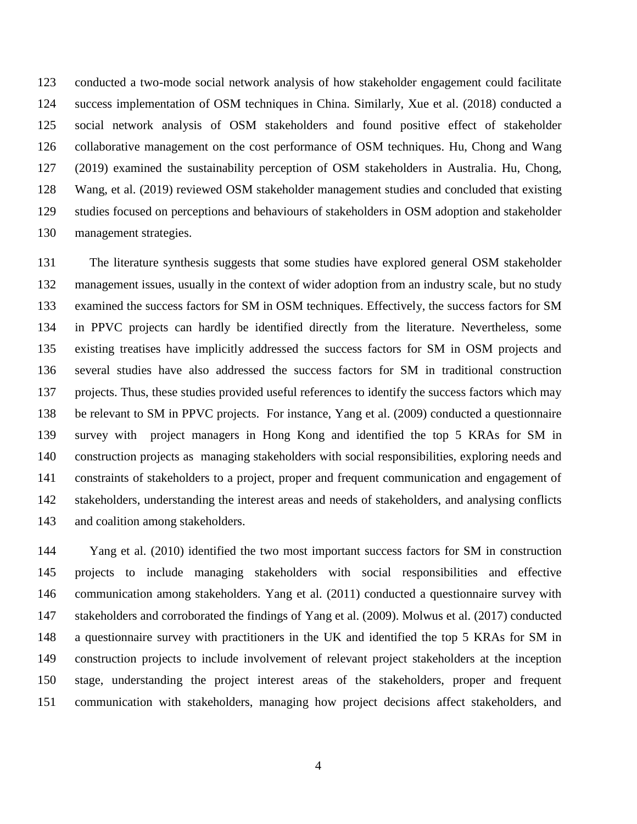conducted a two-mode social network analysis of how stakeholder engagement could facilitate success implementation of OSM techniques in China. Similarly, Xue et al. (2018) conducted a social network analysis of OSM stakeholders and found positive effect of stakeholder collaborative management on the cost performance of OSM techniques. Hu, Chong and Wang (2019) examined the sustainability perception of OSM stakeholders in Australia. Hu, Chong, Wang, et al. (2019) reviewed OSM stakeholder management studies and concluded that existing studies focused on perceptions and behaviours of stakeholders in OSM adoption and stakeholder management strategies.

 The literature synthesis suggests that some studies have explored general OSM stakeholder management issues, usually in the context of wider adoption from an industry scale, but no study examined the success factors for SM in OSM techniques. Effectively, the success factors for SM in PPVC projects can hardly be identified directly from the literature. Nevertheless, some existing treatises have implicitly addressed the success factors for SM in OSM projects and several studies have also addressed the success factors for SM in traditional construction projects. Thus, these studies provided useful references to identify the success factors which may be relevant to SM in PPVC projects. For instance, Yang et al. (2009) conducted a questionnaire survey with project managers in Hong Kong and identified the top 5 KRAs for SM in construction projects as managing stakeholders with social responsibilities, exploring needs and constraints of stakeholders to a project, proper and frequent communication and engagement of stakeholders, understanding the interest areas and needs of stakeholders, and analysing conflicts and coalition among stakeholders.

 Yang et al. (2010) identified the two most important success factors for SM in construction projects to include managing stakeholders with social responsibilities and effective communication among stakeholders. Yang et al. (2011) conducted a questionnaire survey with stakeholders and corroborated the findings of Yang et al. (2009). Molwus et al. (2017) conducted a questionnaire survey with practitioners in the UK and identified the top 5 KRAs for SM in construction projects to include involvement of relevant project stakeholders at the inception stage, understanding the project interest areas of the stakeholders, proper and frequent communication with stakeholders, managing how project decisions affect stakeholders, and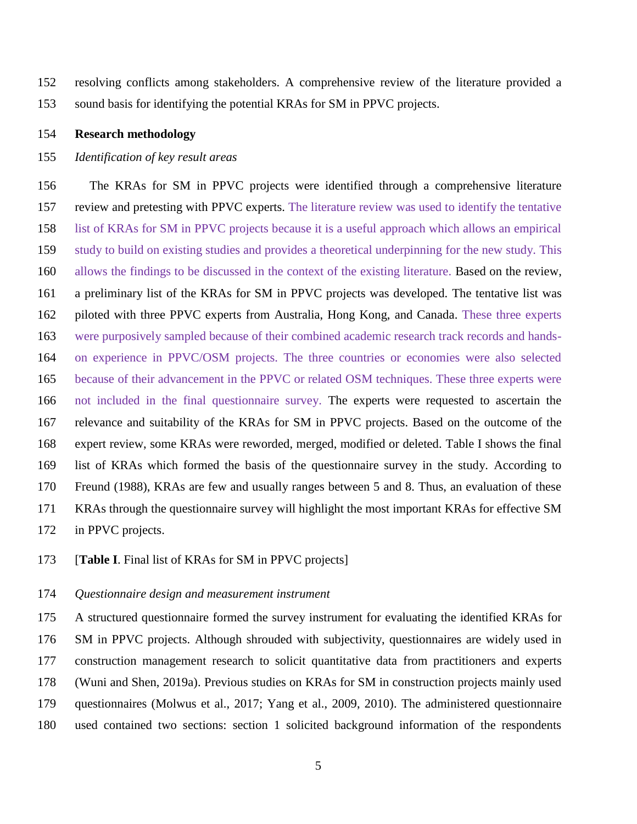resolving conflicts among stakeholders. A comprehensive review of the literature provided a sound basis for identifying the potential KRAs for SM in PPVC projects.

### **Research methodology**

## *Identification of key result areas*

 The KRAs for SM in PPVC projects were identified through a comprehensive literature review and pretesting with PPVC experts. The literature review was used to identify the tentative list of KRAs for SM in PPVC projects because it is a useful approach which allows an empirical study to build on existing studies and provides a theoretical underpinning for the new study. This allows the findings to be discussed in the context of the existing literature. Based on the review, a preliminary list of the KRAs for SM in PPVC projects was developed. The tentative list was piloted with three PPVC experts from Australia, Hong Kong, and Canada. These three experts were purposively sampled because of their combined academic research track records and hands- on experience in PPVC/OSM projects. The three countries or economies were also selected because of their advancement in the PPVC or related OSM techniques. These three experts were not included in the final questionnaire survey. The experts were requested to ascertain the relevance and suitability of the KRAs for SM in PPVC projects. Based on the outcome of the expert review, some KRAs were reworded, merged, modified or deleted. Table I shows the final list of KRAs which formed the basis of the questionnaire survey in the study. According to Freund (1988), KRAs are few and usually ranges between 5 and 8. Thus, an evaluation of these KRAs through the questionnaire survey will highlight the most important KRAs for effective SM in PPVC projects.

#### [**Table I**. Final list of KRAs for SM in PPVC projects]

### *Questionnaire design and measurement instrument*

 A structured questionnaire formed the survey instrument for evaluating the identified KRAs for SM in PPVC projects. Although shrouded with subjectivity, questionnaires are widely used in construction management research to solicit quantitative data from practitioners and experts (Wuni and Shen, 2019a). Previous studies on KRAs for SM in construction projects mainly used questionnaires (Molwus et al., 2017; Yang et al., 2009, 2010). The administered questionnaire used contained two sections: section 1 solicited background information of the respondents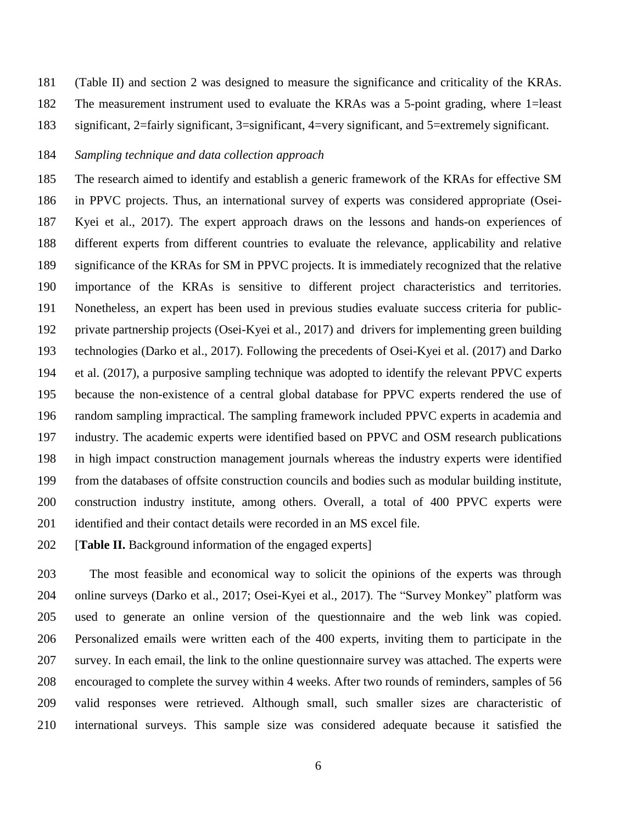(Table II) and section 2 was designed to measure the significance and criticality of the KRAs. The measurement instrument used to evaluate the KRAs was a 5-point grading, where 1=least significant, 2=fairly significant, 3=significant, 4=very significant, and 5=extremely significant.

#### *Sampling technique and data collection approach*

 The research aimed to identify and establish a generic framework of the KRAs for effective SM in PPVC projects. Thus, an international survey of experts was considered appropriate (Osei- Kyei et al., 2017). The expert approach draws on the lessons and hands-on experiences of different experts from different countries to evaluate the relevance, applicability and relative significance of the KRAs for SM in PPVC projects. It is immediately recognized that the relative importance of the KRAs is sensitive to different project characteristics and territories. Nonetheless, an expert has been used in previous studies evaluate success criteria for public- private partnership projects (Osei-Kyei et al., 2017) and drivers for implementing green building technologies (Darko et al., 2017). Following the precedents of Osei-Kyei et al. (2017) and Darko et al. (2017), a purposive sampling technique was adopted to identify the relevant PPVC experts because the non-existence of a central global database for PPVC experts rendered the use of random sampling impractical. The sampling framework included PPVC experts in academia and industry. The academic experts were identified based on PPVC and OSM research publications in high impact construction management journals whereas the industry experts were identified from the databases of offsite construction councils and bodies such as modular building institute, construction industry institute, among others. Overall, a total of 400 PPVC experts were 201 identified and their contact details were recorded in an MS excel file.

[**Table II.** Background information of the engaged experts]

 The most feasible and economical way to solicit the opinions of the experts was through online surveys (Darko et al., 2017; Osei-Kyei et al., 2017). The "Survey Monkey" platform was used to generate an online version of the questionnaire and the web link was copied. Personalized emails were written each of the 400 experts, inviting them to participate in the survey. In each email, the link to the online questionnaire survey was attached. The experts were encouraged to complete the survey within 4 weeks. After two rounds of reminders, samples of 56 valid responses were retrieved. Although small, such smaller sizes are characteristic of international surveys. This sample size was considered adequate because it satisfied the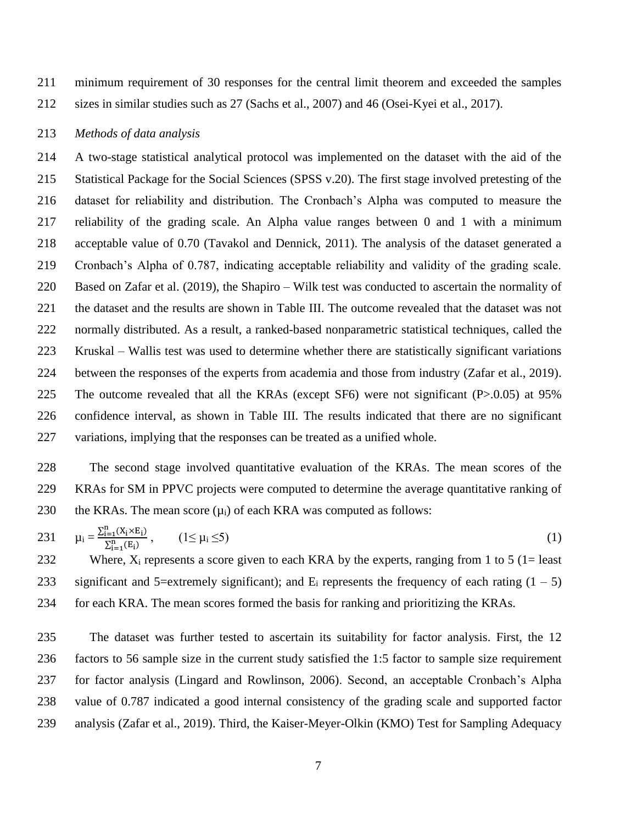minimum requirement of 30 responses for the central limit theorem and exceeded the samples sizes in similar studies such as 27 (Sachs et al., 2007) and 46 (Osei-Kyei et al., 2017).

## *Methods of data analysis*

 A two-stage statistical analytical protocol was implemented on the dataset with the aid of the Statistical Package for the Social Sciences (SPSS v.20). The first stage involved pretesting of the dataset for reliability and distribution. The Cronbach's Alpha was computed to measure the reliability of the grading scale. An Alpha value ranges between 0 and 1 with a minimum acceptable value of 0.70 (Tavakol and Dennick, 2011). The analysis of the dataset generated a Cronbach's Alpha of 0.787, indicating acceptable reliability and validity of the grading scale. Based on Zafar et al. (2019), the Shapiro – Wilk test was conducted to ascertain the normality of the dataset and the results are shown in Table III. The outcome revealed that the dataset was not normally distributed. As a result, a ranked-based nonparametric statistical techniques, called the Kruskal – Wallis test was used to determine whether there are statistically significant variations between the responses of the experts from academia and those from industry (Zafar et al., 2019). The outcome revealed that all the KRAs (except SF6) were not significant (P>.0.05) at 95% confidence interval, as shown in Table III. The results indicated that there are no significant variations, implying that the responses can be treated as a unified whole.

 The second stage involved quantitative evaluation of the KRAs. The mean scores of the KRAs for SM in PPVC projects were computed to determine the average quantitative ranking of 230 the KRAs. The mean score  $(u_i)$  of each KRA was computed as follows:

231 
$$
\mu_i = \frac{\sum_{i=1}^{n} (X_i \times E_i)}{\sum_{i=1}^{n} (E_i)},
$$
  $(1 \le \mu_i \le 5)$  (1)

232 Where,  $X_i$  represents a score given to each KRA by the experts, ranging from 1 to 5 (1= least 233 significant and 5=extremely significant); and  $E_i$  represents the frequency of each rating  $(1 - 5)$ for each KRA. The mean scores formed the basis for ranking and prioritizing the KRAs.

 The dataset was further tested to ascertain its suitability for factor analysis. First, the 12 factors to 56 sample size in the current study satisfied the 1:5 factor to sample size requirement for factor analysis (Lingard and Rowlinson, 2006). Second, an acceptable Cronbach's Alpha value of 0.787 indicated a good internal consistency of the grading scale and supported factor analysis (Zafar et al., 2019). Third, the Kaiser-Meyer-Olkin (KMO) Test for Sampling Adequacy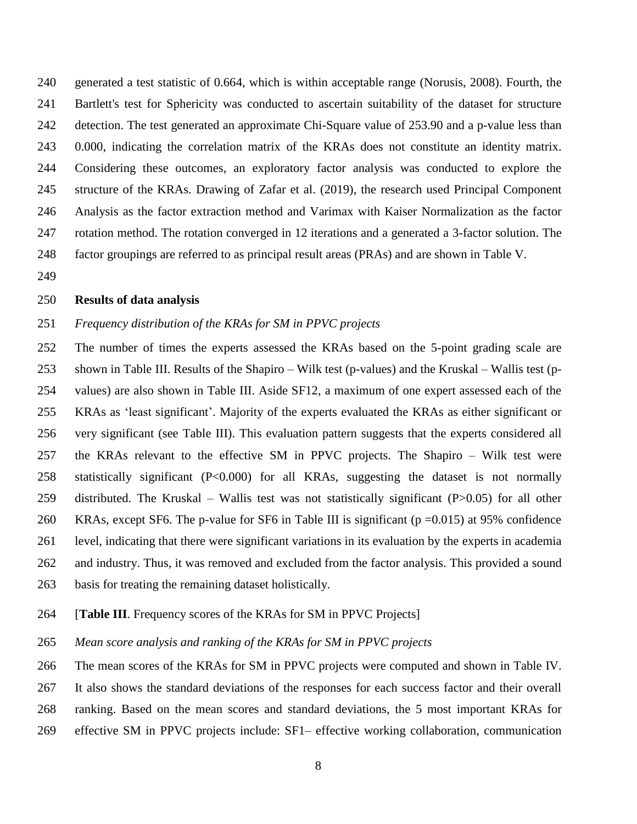generated a test statistic of 0.664, which is within acceptable range (Norusis, 2008). Fourth, the Bartlett's test for Sphericity was conducted to ascertain suitability of the dataset for structure detection. The test generated an approximate Chi-Square value of 253.90 and a p-value less than 0.000, indicating the correlation matrix of the KRAs does not constitute an identity matrix. Considering these outcomes, an exploratory factor analysis was conducted to explore the structure of the KRAs. Drawing of Zafar et al. (2019), the research used Principal Component Analysis as the factor extraction method and Varimax with Kaiser Normalization as the factor rotation method. The rotation converged in 12 iterations and a generated a 3-factor solution. The factor groupings are referred to as principal result areas (PRAs) and are shown in Table V.

#### **Results of data analysis**

## *Frequency distribution of the KRAs for SM in PPVC projects*

 The number of times the experts assessed the KRAs based on the 5-point grading scale are shown in Table III. Results of the Shapiro – Wilk test (p-values) and the Kruskal – Wallis test (p- values) are also shown in Table III. Aside SF12, a maximum of one expert assessed each of the KRAs as 'least significant'. Majority of the experts evaluated the KRAs as either significant or very significant (see Table III). This evaluation pattern suggests that the experts considered all the KRAs relevant to the effective SM in PPVC projects. The Shapiro – Wilk test were statistically significant (P<0.000) for all KRAs, suggesting the dataset is not normally distributed. The Kruskal – Wallis test was not statistically significant (P>0.05) for all other KRAs, except SF6. The p-value for SF6 in Table III is significant (p =0.015) at 95% confidence level, indicating that there were significant variations in its evaluation by the experts in academia and industry. Thus, it was removed and excluded from the factor analysis. This provided a sound basis for treating the remaining dataset holistically.

## [**Table III**. Frequency scores of the KRAs for SM in PPVC Projects]

*Mean score analysis and ranking of the KRAs for SM in PPVC projects*

 The mean scores of the KRAs for SM in PPVC projects were computed and shown in Table IV. It also shows the standard deviations of the responses for each success factor and their overall ranking. Based on the mean scores and standard deviations, the 5 most important KRAs for effective SM in PPVC projects include: SF1– effective working collaboration, communication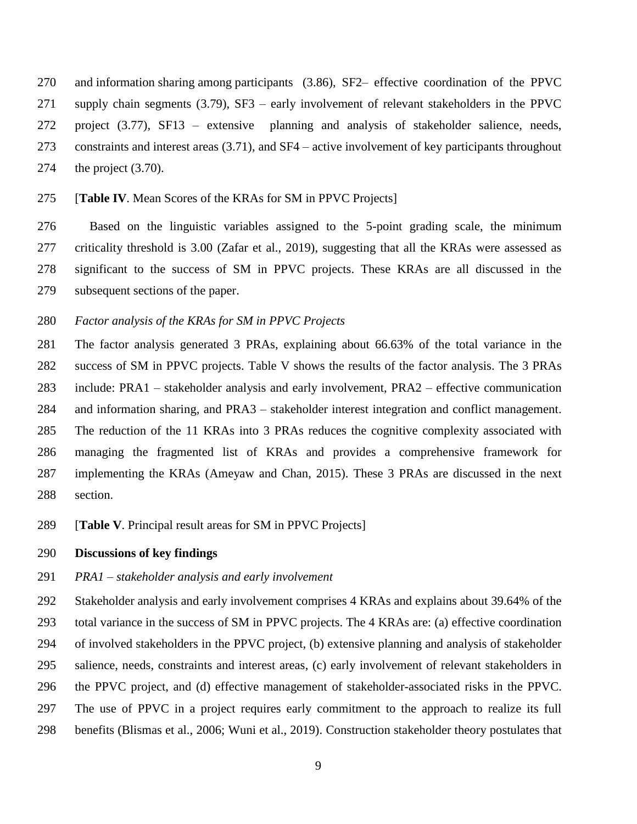and information sharing among participants (3.86), SF2– effective coordination of the PPVC supply chain segments (3.79), SF3 – early involvement of relevant stakeholders in the PPVC project (3.77), SF13 – extensive planning and analysis of stakeholder salience, needs, constraints and interest areas (3.71), and SF4 – active involvement of key participants throughout the project (3.70).

#### [**Table IV**. Mean Scores of the KRAs for SM in PPVC Projects]

 Based on the linguistic variables assigned to the 5-point grading scale, the minimum criticality threshold is 3.00 (Zafar et al., 2019), suggesting that all the KRAs were assessed as significant to the success of SM in PPVC projects. These KRAs are all discussed in the subsequent sections of the paper.

## *Factor analysis of the KRAs for SM in PPVC Projects*

 The factor analysis generated 3 PRAs, explaining about 66.63% of the total variance in the success of SM in PPVC projects. Table V shows the results of the factor analysis. The 3 PRAs include: PRA1 – stakeholder analysis and early involvement, PRA2 – effective communication and information sharing, and PRA3 – stakeholder interest integration and conflict management. The reduction of the 11 KRAs into 3 PRAs reduces the cognitive complexity associated with managing the fragmented list of KRAs and provides a comprehensive framework for implementing the KRAs (Ameyaw and Chan, 2015). These 3 PRAs are discussed in the next section.

[**Table V**. Principal result areas for SM in PPVC Projects]

#### **Discussions of key findings**

### *PRA1 – stakeholder analysis and early involvement*

 Stakeholder analysis and early involvement comprises 4 KRAs and explains about 39.64% of the total variance in the success of SM in PPVC projects. The 4 KRAs are: (a) effective coordination of involved stakeholders in the PPVC project, (b) extensive planning and analysis of stakeholder salience, needs, constraints and interest areas, (c) early involvement of relevant stakeholders in the PPVC project, and (d) effective management of stakeholder-associated risks in the PPVC. The use of PPVC in a project requires early commitment to the approach to realize its full benefits (Blismas et al., 2006; Wuni et al., 2019). Construction stakeholder theory postulates that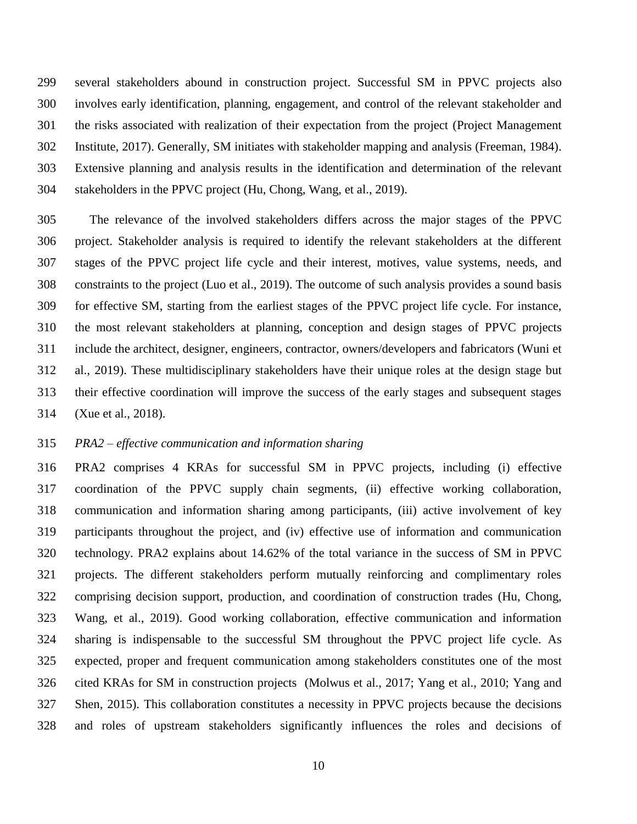several stakeholders abound in construction project. Successful SM in PPVC projects also involves early identification, planning, engagement, and control of the relevant stakeholder and the risks associated with realization of their expectation from the project (Project Management Institute, 2017). Generally, SM initiates with stakeholder mapping and analysis (Freeman, 1984). Extensive planning and analysis results in the identification and determination of the relevant stakeholders in the PPVC project (Hu, Chong, Wang, et al., 2019).

 The relevance of the involved stakeholders differs across the major stages of the PPVC project. Stakeholder analysis is required to identify the relevant stakeholders at the different stages of the PPVC project life cycle and their interest, motives, value systems, needs, and constraints to the project (Luo et al., 2019). The outcome of such analysis provides a sound basis for effective SM, starting from the earliest stages of the PPVC project life cycle. For instance, the most relevant stakeholders at planning, conception and design stages of PPVC projects include the architect, designer, engineers, contractor, owners/developers and fabricators (Wuni et al., 2019). These multidisciplinary stakeholders have their unique roles at the design stage but their effective coordination will improve the success of the early stages and subsequent stages (Xue et al., 2018).

#### *PRA2 – effective communication and information sharing*

 PRA2 comprises 4 KRAs for successful SM in PPVC projects, including (i) effective coordination of the PPVC supply chain segments, (ii) effective working collaboration, communication and information sharing among participants, (iii) active involvement of key participants throughout the project, and (iv) effective use of information and communication technology. PRA2 explains about 14.62% of the total variance in the success of SM in PPVC projects. The different stakeholders perform mutually reinforcing and complimentary roles comprising decision support, production, and coordination of construction trades (Hu, Chong, Wang, et al., 2019). Good working collaboration, effective communication and information sharing is indispensable to the successful SM throughout the PPVC project life cycle. As expected, proper and frequent communication among stakeholders constitutes one of the most cited KRAs for SM in construction projects (Molwus et al., 2017; Yang et al., 2010; Yang and Shen, 2015). This collaboration constitutes a necessity in PPVC projects because the decisions and roles of upstream stakeholders significantly influences the roles and decisions of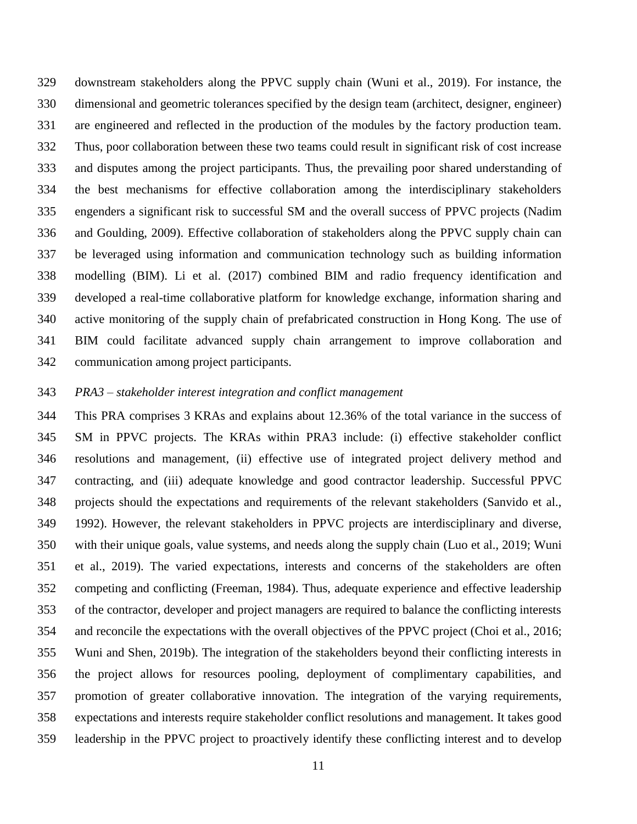downstream stakeholders along the PPVC supply chain (Wuni et al., 2019). For instance, the dimensional and geometric tolerances specified by the design team (architect, designer, engineer) are engineered and reflected in the production of the modules by the factory production team. Thus, poor collaboration between these two teams could result in significant risk of cost increase and disputes among the project participants. Thus, the prevailing poor shared understanding of the best mechanisms for effective collaboration among the interdisciplinary stakeholders engenders a significant risk to successful SM and the overall success of PPVC projects (Nadim and Goulding, 2009). Effective collaboration of stakeholders along the PPVC supply chain can be leveraged using information and communication technology such as building information modelling (BIM). Li et al. (2017) combined BIM and radio frequency identification and developed a real-time collaborative platform for knowledge exchange, information sharing and active monitoring of the supply chain of prefabricated construction in Hong Kong. The use of BIM could facilitate advanced supply chain arrangement to improve collaboration and communication among project participants.

### *PRA3 – stakeholder interest integration and conflict management*

 This PRA comprises 3 KRAs and explains about 12.36% of the total variance in the success of SM in PPVC projects. The KRAs within PRA3 include: (i) effective stakeholder conflict resolutions and management, (ii) effective use of integrated project delivery method and contracting, and (iii) adequate knowledge and good contractor leadership. Successful PPVC projects should the expectations and requirements of the relevant stakeholders (Sanvido et al., 1992). However, the relevant stakeholders in PPVC projects are interdisciplinary and diverse, with their unique goals, value systems, and needs along the supply chain (Luo et al., 2019; Wuni et al., 2019). The varied expectations, interests and concerns of the stakeholders are often competing and conflicting (Freeman, 1984). Thus, adequate experience and effective leadership of the contractor, developer and project managers are required to balance the conflicting interests and reconcile the expectations with the overall objectives of the PPVC project (Choi et al., 2016; Wuni and Shen, 2019b). The integration of the stakeholders beyond their conflicting interests in the project allows for resources pooling, deployment of complimentary capabilities, and promotion of greater collaborative innovation. The integration of the varying requirements, expectations and interests require stakeholder conflict resolutions and management. It takes good leadership in the PPVC project to proactively identify these conflicting interest and to develop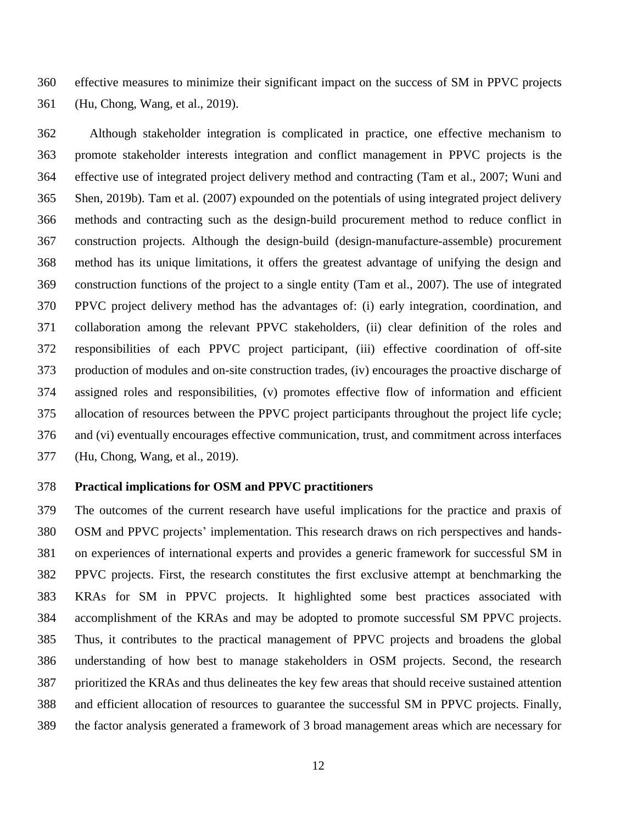effective measures to minimize their significant impact on the success of SM in PPVC projects (Hu, Chong, Wang, et al., 2019).

 Although stakeholder integration is complicated in practice, one effective mechanism to promote stakeholder interests integration and conflict management in PPVC projects is the effective use of integrated project delivery method and contracting (Tam et al., 2007; Wuni and Shen, 2019b). Tam et al. (2007) expounded on the potentials of using integrated project delivery methods and contracting such as the design-build procurement method to reduce conflict in construction projects. Although the design-build (design-manufacture-assemble) procurement method has its unique limitations, it offers the greatest advantage of unifying the design and construction functions of the project to a single entity (Tam et al., 2007). The use of integrated PPVC project delivery method has the advantages of: (i) early integration, coordination, and collaboration among the relevant PPVC stakeholders, (ii) clear definition of the roles and responsibilities of each PPVC project participant, (iii) effective coordination of off-site production of modules and on-site construction trades, (iv) encourages the proactive discharge of assigned roles and responsibilities, (v) promotes effective flow of information and efficient allocation of resources between the PPVC project participants throughout the project life cycle; and (vi) eventually encourages effective communication, trust, and commitment across interfaces (Hu, Chong, Wang, et al., 2019).

#### **Practical implications for OSM and PPVC practitioners**

 The outcomes of the current research have useful implications for the practice and praxis of OSM and PPVC projects' implementation. This research draws on rich perspectives and hands- on experiences of international experts and provides a generic framework for successful SM in PPVC projects. First, the research constitutes the first exclusive attempt at benchmarking the KRAs for SM in PPVC projects. It highlighted some best practices associated with accomplishment of the KRAs and may be adopted to promote successful SM PPVC projects. Thus, it contributes to the practical management of PPVC projects and broadens the global understanding of how best to manage stakeholders in OSM projects. Second, the research prioritized the KRAs and thus delineates the key few areas that should receive sustained attention and efficient allocation of resources to guarantee the successful SM in PPVC projects. Finally, the factor analysis generated a framework of 3 broad management areas which are necessary for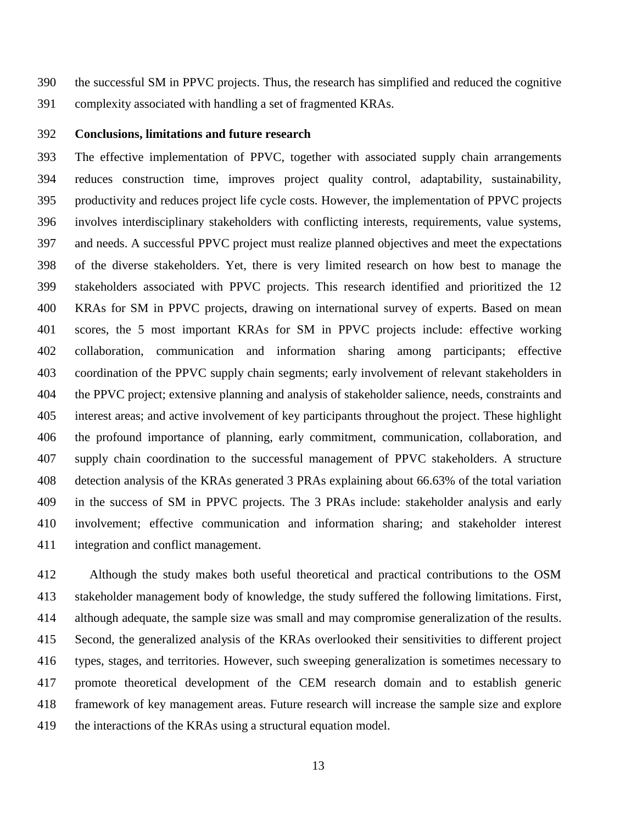the successful SM in PPVC projects. Thus, the research has simplified and reduced the cognitive complexity associated with handling a set of fragmented KRAs.

### **Conclusions, limitations and future research**

 The effective implementation of PPVC, together with associated supply chain arrangements reduces construction time, improves project quality control, adaptability, sustainability, productivity and reduces project life cycle costs. However, the implementation of PPVC projects involves interdisciplinary stakeholders with conflicting interests, requirements, value systems, and needs. A successful PPVC project must realize planned objectives and meet the expectations of the diverse stakeholders. Yet, there is very limited research on how best to manage the stakeholders associated with PPVC projects. This research identified and prioritized the 12 KRAs for SM in PPVC projects, drawing on international survey of experts. Based on mean scores, the 5 most important KRAs for SM in PPVC projects include: effective working collaboration, communication and information sharing among participants; effective coordination of the PPVC supply chain segments; early involvement of relevant stakeholders in the PPVC project; extensive planning and analysis of stakeholder salience, needs, constraints and interest areas; and active involvement of key participants throughout the project. These highlight the profound importance of planning, early commitment, communication, collaboration, and supply chain coordination to the successful management of PPVC stakeholders. A structure detection analysis of the KRAs generated 3 PRAs explaining about 66.63% of the total variation in the success of SM in PPVC projects. The 3 PRAs include: stakeholder analysis and early involvement; effective communication and information sharing; and stakeholder interest integration and conflict management.

 Although the study makes both useful theoretical and practical contributions to the OSM stakeholder management body of knowledge, the study suffered the following limitations. First, although adequate, the sample size was small and may compromise generalization of the results. Second, the generalized analysis of the KRAs overlooked their sensitivities to different project types, stages, and territories. However, such sweeping generalization is sometimes necessary to promote theoretical development of the CEM research domain and to establish generic framework of key management areas. Future research will increase the sample size and explore 419 the interactions of the KRAs using a structural equation model.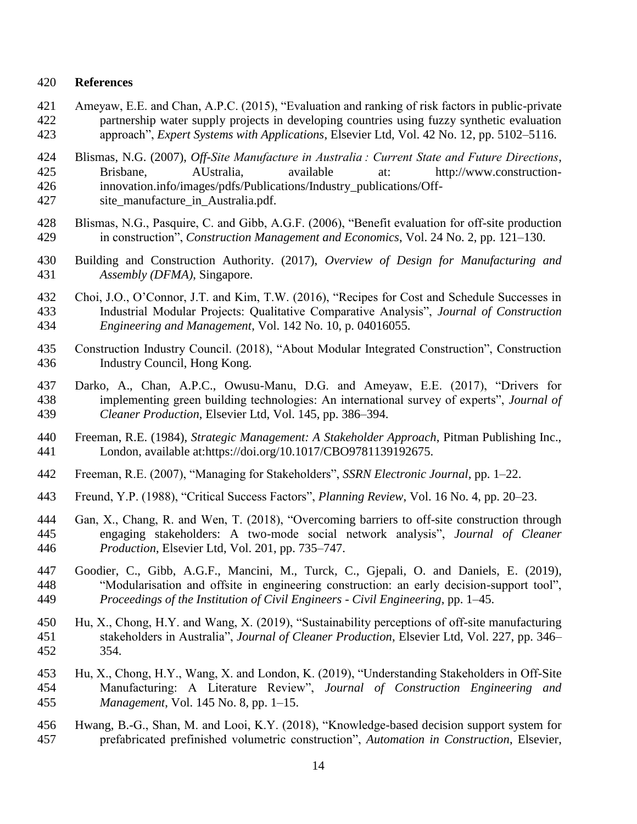## **References**

- Ameyaw, E.E. and Chan, A.P.C. (2015), "Evaluation and ranking of risk factors in public-private partnership water supply projects in developing countries using fuzzy synthetic evaluation approach", *Expert Systems with Applications*, Elsevier Ltd, Vol. 42 No. 12, pp. 5102–5116.
- Blismas, N.G. (2007), *Off-Site Manufacture in Australia : Current State and Future Directions*, Brisbane, AUstralia, available at: http://www.construction-innovation.info/images/pdfs/Publications/Industry\_publications/Off-
- 427 site manufacture in Australia.pdf.
- Blismas, N.G., Pasquire, C. and Gibb, A.G.F. (2006), "Benefit evaluation for off-site production in construction", *Construction Management and Economics*, Vol. 24 No. 2, pp. 121–130.
- Building and Construction Authority. (2017), *Overview of Design for Manufacturing and Assembly (DFMA)*, Singapore.
- Choi, J.O., O'Connor, J.T. and Kim, T.W. (2016), "Recipes for Cost and Schedule Successes in Industrial Modular Projects: Qualitative Comparative Analysis", *Journal of Construction Engineering and Management*, Vol. 142 No. 10, p. 04016055.
- Construction Industry Council. (2018), "About Modular Integrated Construction", Construction Industry Council, Hong Kong.
- Darko, A., Chan, A.P.C., Owusu-Manu, D.G. and Ameyaw, E.E. (2017), "Drivers for implementing green building technologies: An international survey of experts", *Journal of Cleaner Production*, Elsevier Ltd, Vol. 145, pp. 386–394.
- Freeman, R.E. (1984), *Strategic Management: A Stakeholder Approach*, Pitman Publishing Inc., London, available at:https://doi.org/10.1017/CBO9781139192675.
- Freeman, R.E. (2007), "Managing for Stakeholders", *SSRN Electronic Journal*, pp. 1–22.
- Freund, Y.P. (1988), "Critical Success Factors", *Planning Review*, Vol. 16 No. 4, pp. 20–23.
- Gan, X., Chang, R. and Wen, T. (2018), "Overcoming barriers to off-site construction through engaging stakeholders: A two-mode social network analysis", *Journal of Cleaner Production*, Elsevier Ltd, Vol. 201, pp. 735–747.
- Goodier, C., Gibb, A.G.F., Mancini, M., Turck, C., Gjepali, O. and Daniels, E. (2019), "Modularisation and offsite in engineering construction: an early decision-support tool", *Proceedings of the Institution of Civil Engineers - Civil Engineering*, pp. 1–45.
- Hu, X., Chong, H.Y. and Wang, X. (2019), "Sustainability perceptions of off-site manufacturing stakeholders in Australia", *Journal of Cleaner Production*, Elsevier Ltd, Vol. 227, pp. 346– 354.
- Hu, X., Chong, H.Y., Wang, X. and London, K. (2019), "Understanding Stakeholders in Off-Site Manufacturing: A Literature Review", *Journal of Construction Engineering and Management*, Vol. 145 No. 8, pp. 1–15.
- Hwang, B.-G., Shan, M. and Looi, K.Y. (2018), "Knowledge-based decision support system for prefabricated prefinished volumetric construction", *Automation in Construction*, Elsevier,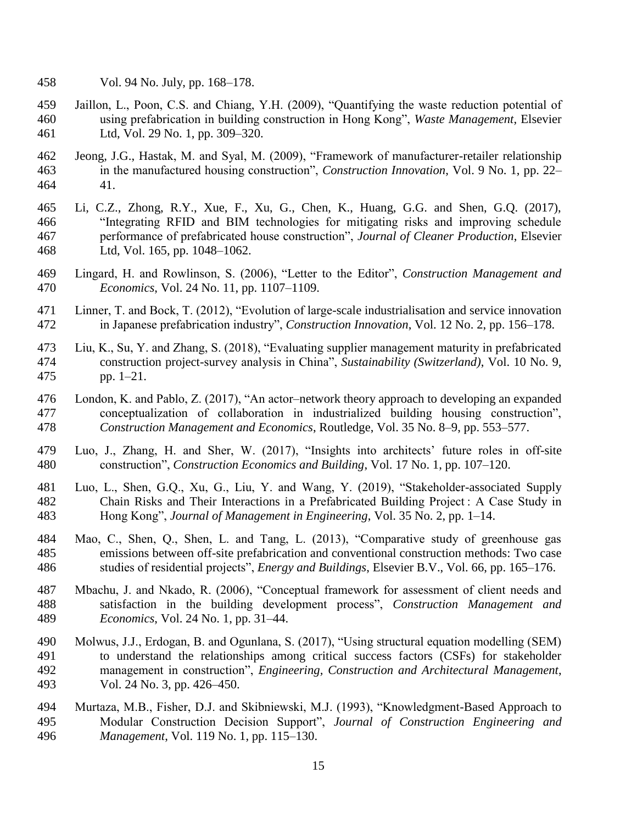- Vol. 94 No. July, pp. 168–178.
- Jaillon, L., Poon, C.S. and Chiang, Y.H. (2009), "Quantifying the waste reduction potential of using prefabrication in building construction in Hong Kong", *Waste Management*, Elsevier Ltd, Vol. 29 No. 1, pp. 309–320.
- Jeong, J.G., Hastak, M. and Syal, M. (2009), "Framework of manufacturer-retailer relationship in the manufactured housing construction", *Construction Innovation*, Vol. 9 No. 1, pp. 22– 41.
- Li, C.Z., Zhong, R.Y., Xue, F., Xu, G., Chen, K., Huang, G.G. and Shen, G.Q. (2017), "Integrating RFID and BIM technologies for mitigating risks and improving schedule performance of prefabricated house construction", *Journal of Cleaner Production*, Elsevier Ltd, Vol. 165, pp. 1048–1062.
- Lingard, H. and Rowlinson, S. (2006), "Letter to the Editor", *Construction Management and Economics*, Vol. 24 No. 11, pp. 1107–1109.
- Linner, T. and Bock, T. (2012), "Evolution of large-scale industrialisation and service innovation in Japanese prefabrication industry", *Construction Innovation*, Vol. 12 No. 2, pp. 156–178.
- Liu, K., Su, Y. and Zhang, S. (2018), "Evaluating supplier management maturity in prefabricated construction project-survey analysis in China", *Sustainability (Switzerland)*, Vol. 10 No. 9, pp. 1–21.
- London, K. and Pablo, Z. (2017), "An actor–network theory approach to developing an expanded conceptualization of collaboration in industrialized building housing construction", *Construction Management and Economics*, Routledge, Vol. 35 No. 8–9, pp. 553–577.
- Luo, J., Zhang, H. and Sher, W. (2017), "Insights into architects' future roles in off-site construction", *Construction Economics and Building*, Vol. 17 No. 1, pp. 107–120.
- Luo, L., Shen, G.Q., Xu, G., Liu, Y. and Wang, Y. (2019), "Stakeholder-associated Supply Chain Risks and Their Interactions in a Prefabricated Building Project : A Case Study in Hong Kong", *Journal of Management in Engineering*, Vol. 35 No. 2, pp. 1–14.
- Mao, C., Shen, Q., Shen, L. and Tang, L. (2013), "Comparative study of greenhouse gas emissions between off-site prefabrication and conventional construction methods: Two case studies of residential projects", *Energy and Buildings*, Elsevier B.V., Vol. 66, pp. 165–176.
- Mbachu, J. and Nkado, R. (2006), "Conceptual framework for assessment of client needs and satisfaction in the building development process", *Construction Management and Economics*, Vol. 24 No. 1, pp. 31–44.
- Molwus, J.J., Erdogan, B. and Ogunlana, S. (2017), "Using structural equation modelling (SEM) to understand the relationships among critical success factors (CSFs) for stakeholder management in construction", *Engineering, Construction and Architectural Management*, Vol. 24 No. 3, pp. 426–450.
- Murtaza, M.B., Fisher, D.J. and Skibniewski, M.J. (1993), "Knowledgment-Based Approach to Modular Construction Decision Support", *Journal of Construction Engineering and Management*, Vol. 119 No. 1, pp. 115–130.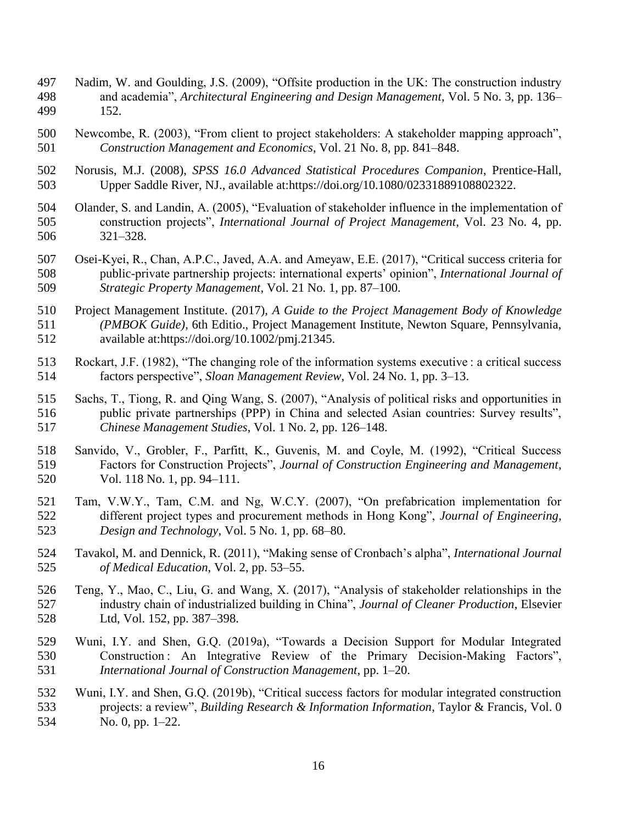- Nadim, W. and Goulding, J.S. (2009), "Offsite production in the UK: The construction industry and academia", *Architectural Engineering and Design Management*, Vol. 5 No. 3, pp. 136– 152.
- Newcombe, R. (2003), "From client to project stakeholders: A stakeholder mapping approach", *Construction Management and Economics*, Vol. 21 No. 8, pp. 841–848.
- Norusis, M.J. (2008), *SPSS 16.0 Advanced Statistical Procedures Companion*, Prentice-Hall, Upper Saddle River, NJ., available at:https://doi.org/10.1080/02331889108802322.
- Olander, S. and Landin, A. (2005), "Evaluation of stakeholder influence in the implementation of construction projects", *International Journal of Project Management*, Vol. 23 No. 4, pp. 321–328.
- Osei-Kyei, R., Chan, A.P.C., Javed, A.A. and Ameyaw, E.E. (2017), "Critical success criteria for public-private partnership projects: international experts' opinion", *International Journal of Strategic Property Management*, Vol. 21 No. 1, pp. 87–100.
- Project Management Institute. (2017), *A Guide to the Project Management Body of Knowledge (PMBOK Guide)*, 6th Editio., Project Management Institute, Newton Square, Pennsylvania, available at:https://doi.org/10.1002/pmj.21345.
- 513 Rockart, J.F. (1982), "The changing role of the information systems executive : a critical success factors perspective", *Sloan Management Review*, Vol. 24 No. 1, pp. 3–13.
- Sachs, T., Tiong, R. and Qing Wang, S. (2007), "Analysis of political risks and opportunities in public private partnerships (PPP) in China and selected Asian countries: Survey results", *Chinese Management Studies*, Vol. 1 No. 2, pp. 126–148.
- Sanvido, V., Grobler, F., Parfitt, K., Guvenis, M. and Coyle, M. (1992), "Critical Success Factors for Construction Projects", *Journal of Construction Engineering and Management*, Vol. 118 No. 1, pp. 94–111.
- Tam, V.W.Y., Tam, C.M. and Ng, W.C.Y. (2007), "On prefabrication implementation for different project types and procurement methods in Hong Kong", *Journal of Engineering, Design and Technology*, Vol. 5 No. 1, pp. 68–80.
- Tavakol, M. and Dennick, R. (2011), "Making sense of Cronbach's alpha", *International Journal of Medical Education*, Vol. 2, pp. 53–55.
- Teng, Y., Mao, C., Liu, G. and Wang, X. (2017), "Analysis of stakeholder relationships in the industry chain of industrialized building in China", *Journal of Cleaner Production*, Elsevier Ltd, Vol. 152, pp. 387–398.
- Wuni, I.Y. and Shen, G.Q. (2019a), "Towards a Decision Support for Modular Integrated Construction : An Integrative Review of the Primary Decision-Making Factors", *International Journal of Construction Management*, pp. 1–20.
- Wuni, I.Y. and Shen, G.Q. (2019b), "Critical success factors for modular integrated construction projects: a review", *Building Research & Information Information*, Taylor & Francis, Vol. 0 No. 0, pp. 1–22.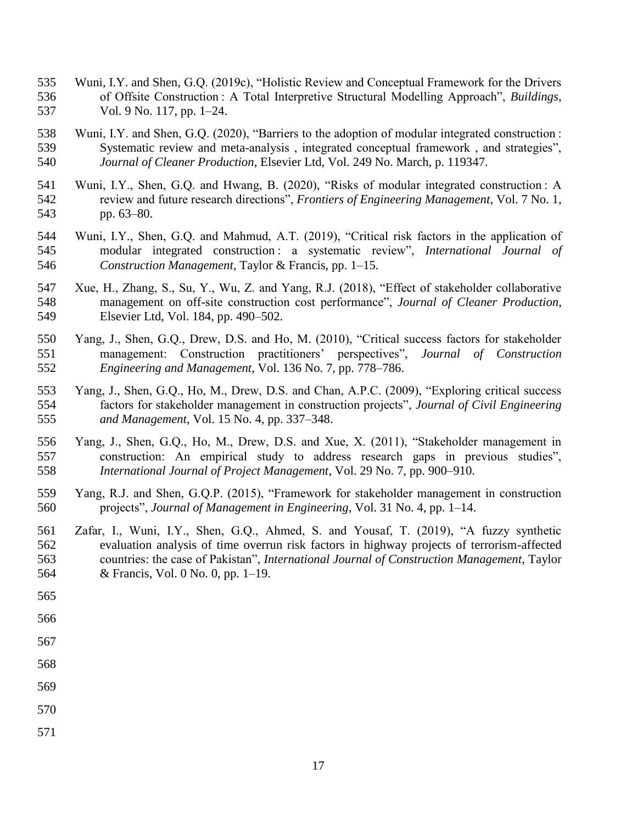- Wuni, I.Y. and Shen, G.Q. (2019c), "Holistic Review and Conceptual Framework for the Drivers of Offsite Construction : A Total Interpretive Structural Modelling Approach", *Buildings*, Vol. 9 No. 117, pp. 1–24.
- Wuni, I.Y. and Shen, G.Q. (2020), "Barriers to the adoption of modular integrated construction : Systematic review and meta-analysis , integrated conceptual framework , and strategies", *Journal of Cleaner Production*, Elsevier Ltd, Vol. 249 No. March, p. 119347.
- Wuni, I.Y., Shen, G.Q. and Hwang, B. (2020), "Risks of modular integrated construction : A review and future research directions", *Frontiers of Engineering Management*, Vol. 7 No. 1, pp. 63–80.
- Wuni, I.Y., Shen, G.Q. and Mahmud, A.T. (2019), "Critical risk factors in the application of modular integrated construction : a systematic review", *International Journal of Construction Management*, Taylor & Francis, pp. 1–15.
- Xue, H., Zhang, S., Su, Y., Wu, Z. and Yang, R.J. (2018), "Effect of stakeholder collaborative management on off-site construction cost performance", *Journal of Cleaner Production*, Elsevier Ltd, Vol. 184, pp. 490–502.
- Yang, J., Shen, G.Q., Drew, D.S. and Ho, M. (2010), "Critical success factors for stakeholder management: Construction practitioners' perspectives", *Journal of Construction Engineering and Management*, Vol. 136 No. 7, pp. 778–786.
- Yang, J., Shen, G.Q., Ho, M., Drew, D.S. and Chan, A.P.C. (2009), "Exploring critical success factors for stakeholder management in construction projects", *Journal of Civil Engineering and Management*, Vol. 15 No. 4, pp. 337–348.
- Yang, J., Shen, G.Q., Ho, M., Drew, D.S. and Xue, X. (2011), "Stakeholder management in construction: An empirical study to address research gaps in previous studies", *International Journal of Project Management*, Vol. 29 No. 7, pp. 900–910.
- Yang, R.J. and Shen, G.Q.P. (2015), "Framework for stakeholder management in construction projects", *Journal of Management in Engineering*, Vol. 31 No. 4, pp. 1–14.
- Zafar, I., Wuni, I.Y., Shen, G.Q., Ahmed, S. and Yousaf, T. (2019), "A fuzzy synthetic evaluation analysis of time overrun risk factors in highway projects of terrorism-affected countries: the case of Pakistan", *International Journal of Construction Management*, Taylor & Francis, Vol. 0 No. 0, pp. 1–19.
- 
- 
- 
- 
- 
- 
- 
-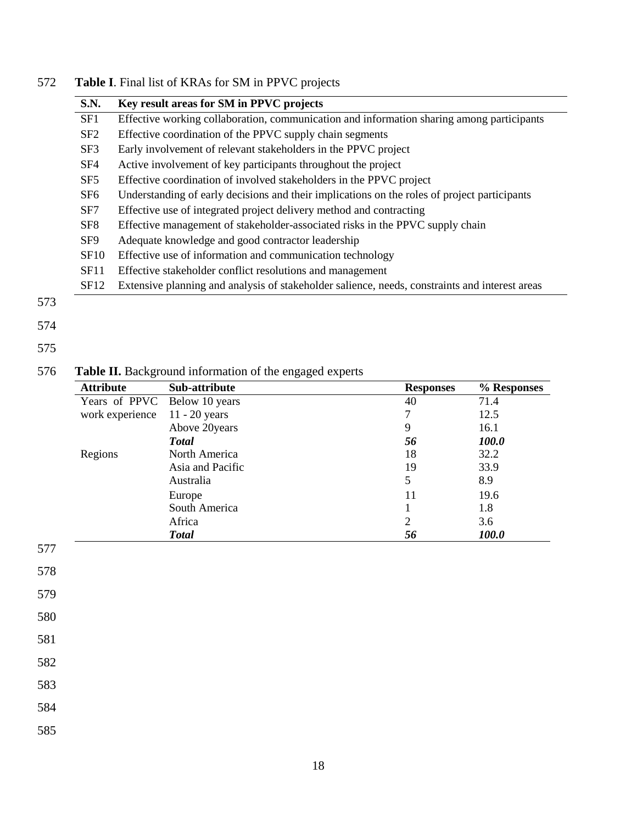| <b>S.N.</b>     | Key result areas for SM in PPVC projects                                                       |
|-----------------|------------------------------------------------------------------------------------------------|
| SF1             | Effective working collaboration, communication and information sharing among participants      |
| SF2             | Effective coordination of the PPVC supply chain segments                                       |
| SF3             | Early involvement of relevant stakeholders in the PPVC project                                 |
| SF4             | Active involvement of key participants throughout the project                                  |
| SF <sub>5</sub> | Effective coordination of involved stakeholders in the PPVC project                            |
| SF <sub>6</sub> | Understanding of early decisions and their implications on the roles of project participants   |
| SF7             | Effective use of integrated project delivery method and contracting                            |
| SF <sub>8</sub> | Effective management of stakeholder-associated risks in the PPVC supply chain                  |
| SF <sub>9</sub> | Adequate knowledge and good contractor leadership                                              |
| <b>SF10</b>     | Effective use of information and communication technology                                      |
| SF11            | Effective stakeholder conflict resolutions and management                                      |
| SF12            | Extensive planning and analysis of stakeholder salience, needs, constraints and interest areas |

 $\mathbb{R}^2$  $\overline{\phantom{0}}$ 

## 572 **Table I**. Final list of KRAs for SM in PPVC projects

# 575

## 576 **Table II.** Background information of the engaged experts

|                   | <b>Attribute</b> | Sub-attribute    | <b>Responses</b> | % Responses |
|-------------------|------------------|------------------|------------------|-------------|
|                   | Years of PPVC    | Below 10 years   | 40               | 71.4        |
|                   | work experience  | $11 - 20$ years  | $\overline{7}$   | 12.5        |
|                   |                  | Above 20years    | 9                | 16.1        |
|                   |                  | <b>Total</b>     | 56               | 100.0       |
|                   | Regions          | North America    | 18               | 32.2        |
|                   |                  | Asia and Pacific | 19               | 33.9        |
|                   |                  | Australia        | 5                | 8.9         |
|                   |                  | Europe           | 11               | 19.6        |
|                   |                  | South America    | 1                | 1.8         |
|                   |                  | Africa           | $\overline{2}$   | 3.6         |
|                   |                  | <b>Total</b>     | 56               | 100.0       |
| 578<br>579<br>580 |                  |                  |                  |             |
| 581               |                  |                  |                  |             |
| 582               |                  |                  |                  |             |
| 583               |                  |                  |                  |             |
| 584               |                  |                  |                  |             |
| 585               |                  |                  |                  |             |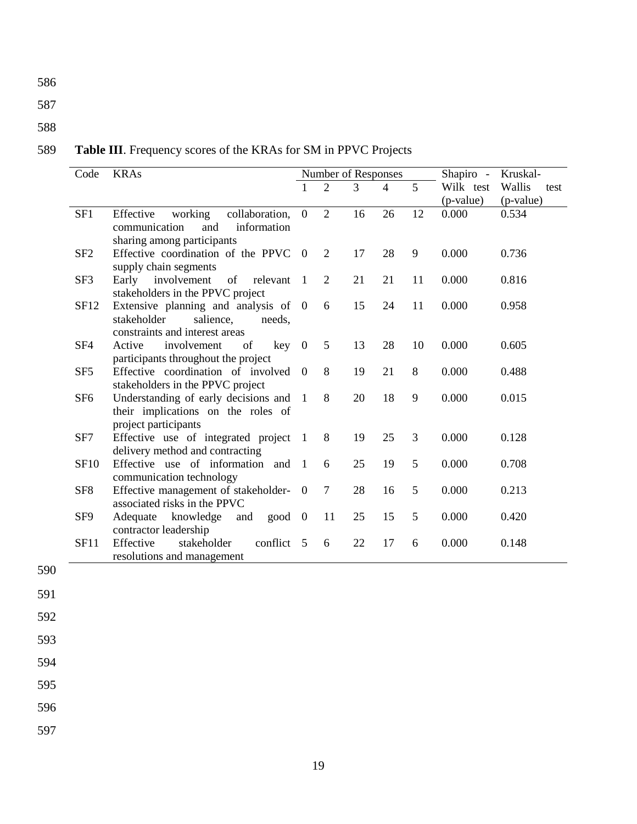586

587

## 588

## 589 **Table III**. Frequency scores of the KRAs for SM in PPVC Projects

| Code            | <b>KRAs</b>                                                                                                  | Number of Responses |                |    |                | Shapiro - | Kruskal-                 |                             |
|-----------------|--------------------------------------------------------------------------------------------------------------|---------------------|----------------|----|----------------|-----------|--------------------------|-----------------------------|
|                 |                                                                                                              |                     | $\overline{2}$ | 3  | $\overline{4}$ | 5         | Wilk test<br>$(p-value)$ | Wallis<br>test<br>(p-value) |
| SF1             | Effective<br>working<br>collaboration,<br>and<br>information<br>communication<br>sharing among participants  | $\overline{0}$      | $\overline{2}$ | 16 | 26             | 12        | 0.000                    | 0.534                       |
| SF <sub>2</sub> | Effective coordination of the PPVC<br>supply chain segments                                                  | $\overline{0}$      | $\overline{2}$ | 17 | 28             | 9         | 0.000                    | 0.736                       |
| SF3             | Early involvement<br>of<br>relevant<br>stakeholders in the PPVC project                                      | $\overline{1}$      | $\overline{2}$ | 21 | 21             | 11        | 0.000                    | 0.816                       |
| SF12            | Extensive planning and analysis of 0<br>stakeholder<br>salience.<br>needs.<br>constraints and interest areas |                     | 6              | 15 | 24             | 11        | 0.000                    | 0.958                       |
| SF <sub>4</sub> | Active<br>involvement<br>$key \quad 0$<br>of<br>participants throughout the project                          |                     | 5              | 13 | 28             | 10        | 0.000                    | 0.605                       |
| SF <sub>5</sub> | Effective coordination of involved 0<br>stakeholders in the PPVC project                                     |                     | 8              | 19 | 21             | 8         | 0.000                    | 0.488                       |
| SF <sub>6</sub> | Understanding of early decisions and<br>their implications on the roles of<br>project participants           | $\overline{1}$      | 8              | 20 | 18             | 9         | 0.000                    | 0.015                       |
| SF7             | Effective use of integrated project<br>delivery method and contracting                                       | -1                  | 8              | 19 | 25             | 3         | 0.000                    | 0.128                       |
| <b>SF10</b>     | Effective use of information and<br>communication technology                                                 | $\overline{1}$      | 6              | 25 | 19             | 5         | 0.000                    | 0.708                       |
| SF <sub>8</sub> | Effective management of stakeholder-<br>associated risks in the PPVC                                         | $\boldsymbol{0}$    | 7              | 28 | 16             | 5         | 0.000                    | 0.213                       |
| SF <sub>9</sub> | Adequate knowledge<br>good<br>and<br>contractor leadership                                                   | $\overline{0}$      | 11             | 25 | 15             | 5         | 0.000                    | 0.420                       |
| <b>SF11</b>     | stakeholder<br>conflict<br>Effective<br>resolutions and management                                           | - 5                 | 6              | 22 | 17             | 6         | 0.000                    | 0.148                       |

591

590

592

593

594

595

596

597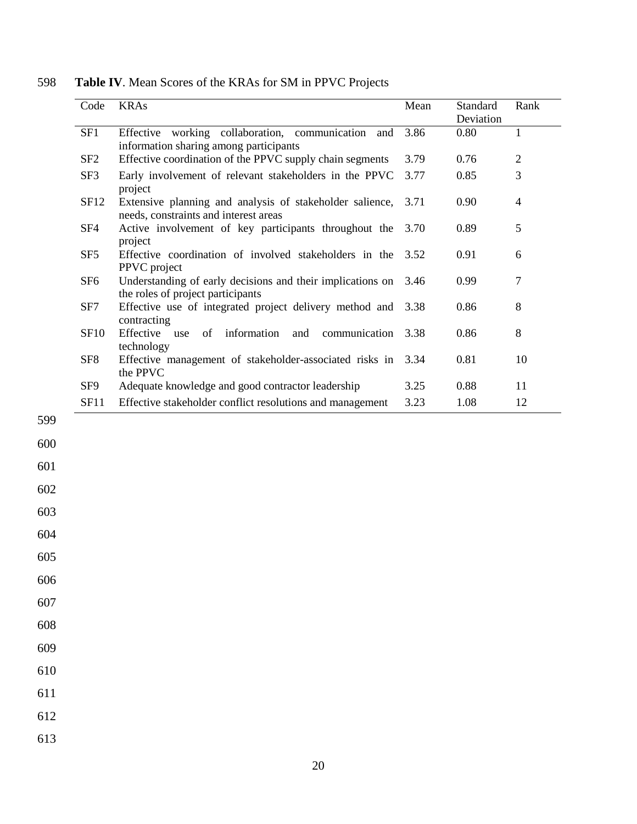| Code            | <b>KRAs</b>                                                                                       | Mean | Standard<br>Deviation | Rank           |
|-----------------|---------------------------------------------------------------------------------------------------|------|-----------------------|----------------|
| SF1             | Effective working collaboration, communication and<br>information sharing among participants      | 3.86 | 0.80                  | 1              |
| SF <sub>2</sub> | Effective coordination of the PPVC supply chain segments                                          | 3.79 | 0.76                  | $\overline{2}$ |
| SF3             | Early involvement of relevant stakeholders in the PPVC<br>project                                 | 3.77 | 0.85                  | 3              |
| SF12            | Extensive planning and analysis of stakeholder salience,<br>needs, constraints and interest areas | 3.71 | 0.90                  | $\overline{4}$ |
| SF <sub>4</sub> | Active involvement of key participants throughout the<br>project                                  | 3.70 | 0.89                  | 5              |
| SF <sub>5</sub> | Effective coordination of involved stakeholders in the<br>PPVC project                            | 3.52 | 0.91                  | 6              |
| SF <sub>6</sub> | Understanding of early decisions and their implications on<br>the roles of project participants   | 3.46 | 0.99                  | 7              |
| SF7             | Effective use of integrated project delivery method and<br>contracting                            | 3.38 | 0.86                  | 8              |
| <b>SF10</b>     | Effective<br>information<br>communication<br>of<br>and<br>use<br>technology                       | 3.38 | 0.86                  | 8              |
| SF <sub>8</sub> | Effective management of stakeholder-associated risks in<br>the PPVC                               | 3.34 | 0.81                  | 10             |
| SF9             | Adequate knowledge and good contractor leadership                                                 | 3.25 | 0.88                  | 11             |
| SF11            | Effective stakeholder conflict resolutions and management                                         | 3.23 | 1.08                  | 12             |

598 **Table IV**. Mean Scores of the KRAs for SM in PPVC Projects

602 603

599

600

601

604

605

606

607

608

609

610

611

612

613